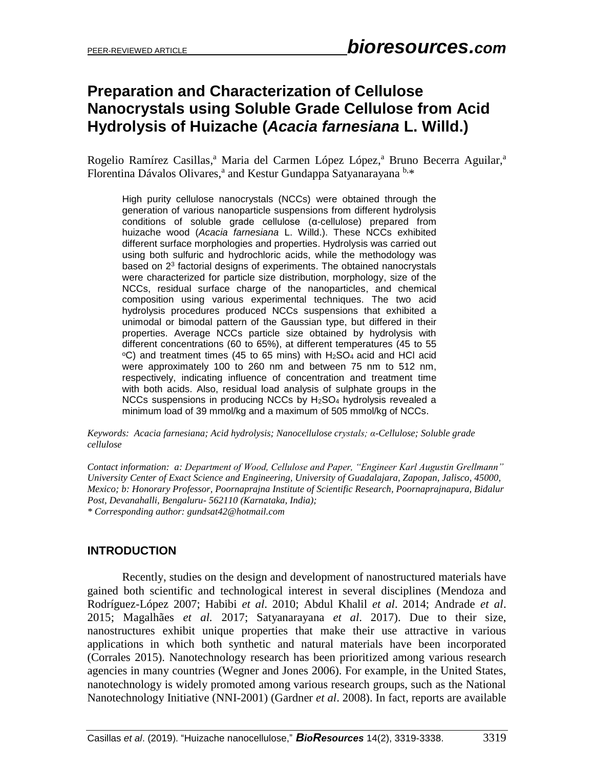# **Preparation and Characterization of Cellulose Nanocrystals using Soluble Grade Cellulose from Acid Hydrolysis of Huizache (***Acacia farnesiana* **L. Willd.)**

Rogelio Ramírez Casillas,<sup>a</sup> Maria del Carmen López López,<sup>a</sup> Bruno Becerra Aguilar,<sup>a</sup> Florentina Dávalos Olivares,<sup>a</sup> and Kestur Gundappa Satyanarayana b,\*

High purity cellulose nanocrystals (NCCs) were obtained through the generation of various nanoparticle suspensions from different hydrolysis conditions of soluble grade cellulose (α-cellulose) prepared from huizache wood (*Acacia farnesiana* L. Willd.). These NCCs exhibited different surface morphologies and properties. Hydrolysis was carried out using both sulfuric and hydrochloric acids, while the methodology was based on 2<sup>3</sup> factorial designs of experiments. The obtained nanocrystals were characterized for particle size distribution, morphology, size of the NCCs, residual surface charge of the nanoparticles, and chemical composition using various experimental techniques. The two acid hydrolysis procedures produced NCCs suspensions that exhibited a unimodal or bimodal pattern of the Gaussian type, but differed in their properties. Average NCCs particle size obtained by hydrolysis with different concentrations (60 to 65%), at different temperatures (45 to 55  $\degree$ C) and treatment times (45 to 65 mins) with H<sub>2</sub>SO<sub>4</sub> acid and HCl acid were approximately 100 to 260 nm and between 75 nm to 512 nm, respectively, indicating influence of concentration and treatment time with both acids. Also, residual load analysis of sulphate groups in the NCCs suspensions in producing NCCs by H<sub>2</sub>SO<sub>4</sub> hydrolysis revealed a minimum load of 39 mmol/kg and a maximum of 505 mmol/kg of NCCs.

*Keywords: Acacia farnesiana; Acid hydrolysis; Nanocellulose crystals; α-Cellulose; Soluble grade cellulose*

*Contact information: a: Department of Wood, Cellulose and Paper, "Engineer Karl Augustin Grellmann" University Center of Exact Science and Engineering, University of Guadalajara, Zapopan, Jalisco, 45000, Mexico; b: Honorary Professor, Poornaprajna Institute of Scientific Research, Poornaprajnapura, Bidalur Post, Devanahalli, Bengaluru- 562110 (Karnataka, India); \* Corresponding author: gundsat42@hotmail.com*

# **INTRODUCTION**

Recently, studies on the design and development of nanostructured materials have gained both scientific and technological interest in several disciplines (Mendoza and Rodríguez-López 2007; Habibi *et al*. 2010; Abdul Khalil *et al*. 2014; Andrade *et al*. 2015; Magalhães *et al.* 2017; Satyanarayana *et al*. 2017). Due to their size, nanostructures exhibit unique properties that make their use attractive in various applications in which both synthetic and natural materials have been incorporated (Corrales 2015). Nanotechnology research has been prioritized among various research agencies in many countries (Wegner and Jones 2006). For example, in the United States, nanotechnology is widely promoted among various research groups, such as the National Nanotechnology Initiative (NNI-2001) (Gardner *et al*. 2008). In fact, reports are available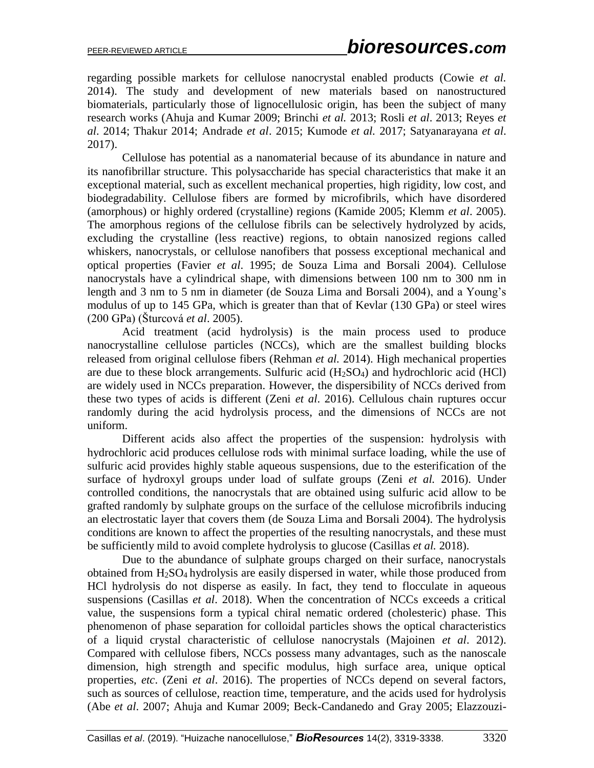regarding possible markets for cellulose nanocrystal enabled products (Cowie *et al.* 2014). The study and development of new materials based on nanostructured biomaterials, particularly those of lignocellulosic origin, has been the subject of many research works (Ahuja and Kumar 2009; Brinchi *et al.* 2013; Rosli *et al*. 2013; Reyes *et al*. 2014; Thakur 2014; Andrade *et al*. 2015; Kumode *et al.* 2017; Satyanarayana *et al*. 2017).

Cellulose has potential as a nanomaterial because of its abundance in nature and its nanofibrillar structure. This polysaccharide has special characteristics that make it an exceptional material, such as excellent mechanical properties, high rigidity, low cost, and biodegradability. Cellulose fibers are formed by microfibrils, which have disordered (amorphous) or highly ordered (crystalline) regions (Kamide 2005; Klemm *et al*. 2005). The amorphous regions of the cellulose fibrils can be selectively hydrolyzed by acids, excluding the crystalline (less reactive) regions, to obtain nanosized regions called whiskers, nanocrystals, or cellulose nanofibers that possess exceptional mechanical and optical properties (Favier *et al*. 1995; de Souza Lima and Borsali 2004). Cellulose nanocrystals have a cylindrical shape, with dimensions between 100 nm to 300 nm in length and 3 nm to 5 nm in diameter (de Souza Lima and Borsali 2004), and a Young's modulus of up to 145 GPa, which is greater than that of Kevlar (130 GPa) or steel wires (200 GPa) (Šturcová *et al*. 2005).

Acid treatment (acid hydrolysis) is the main process used to produce nanocrystalline cellulose particles (NCCs), which are the smallest building blocks released from original cellulose fibers (Rehman *et al.* 2014). High mechanical properties are due to these block arrangements. Sulfuric acid  $(H_2SO_4)$  and hydrochloric acid  $(HCl)$ are widely used in NCCs preparation. However, the dispersibility of NCCs derived from these two types of acids is different (Zeni *et al*. 2016). Cellulous chain ruptures occur randomly during the acid hydrolysis process, and the dimensions of NCCs are not uniform.

Different acids also affect the properties of the suspension: hydrolysis with hydrochloric acid produces cellulose rods with minimal surface loading, while the use of sulfuric acid provides highly stable aqueous suspensions, due to the esterification of the surface of hydroxyl groups under load of sulfate groups (Zeni *et al.* 2016). Under controlled conditions, the nanocrystals that are obtained using sulfuric acid allow to be grafted randomly by sulphate groups on the surface of the cellulose microfibrils inducing an electrostatic layer that covers them (de Souza Lima and Borsali 2004). The hydrolysis conditions are known to affect the properties of the resulting nanocrystals, and these must be sufficiently mild to avoid complete hydrolysis to glucose (Casillas *et al.* 2018).

Due to the abundance of sulphate groups charged on their surface, nanocrystals obtained from  $H<sub>2</sub>SO<sub>4</sub>$  hydrolysis are easily dispersed in water, while those produced from HCl hydrolysis do not disperse as easily. In fact, they tend to flocculate in aqueous suspensions (Casillas *et al*. 2018). When the concentration of NCCs exceeds a critical value, the suspensions form a typical chiral nematic ordered (cholesteric) phase. This phenomenon of phase separation for colloidal particles shows the optical characteristics of a liquid crystal characteristic of cellulose nanocrystals (Majoinen *et al*. 2012). Compared with cellulose fibers, NCCs possess many advantages, such as the nanoscale dimension, high strength and specific modulus, high surface area, unique optical properties, *etc*. (Zeni *et al*. 2016). The properties of NCCs depend on several factors, such as sources of cellulose, reaction time, temperature, and the acids used for hydrolysis (Abe *et al*. 2007; Ahuja and Kumar 2009; Beck-Candanedo and Gray 2005; Elazzouzi-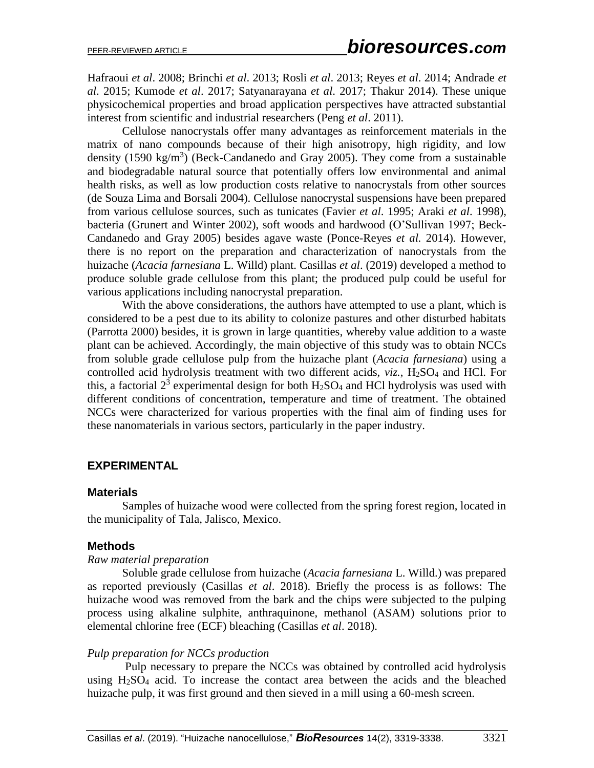Hafraoui *et al*. 2008; Brinchi *et al*. 2013; Rosli *et al*. 2013; Reyes *et al*. 2014; Andrade *et al*. 2015; Kumode *et al*. 2017; Satyanarayana *et al*. 2017; Thakur 2014). These unique physicochemical properties and broad application perspectives have attracted substantial interest from scientific and industrial researchers (Peng *et al*. 2011).

Cellulose nanocrystals offer many advantages as reinforcement materials in the matrix of nano compounds because of their high anisotropy, high rigidity, and low density (1590 kg/m<sup>3</sup>) (Beck-Candanedo and Gray 2005). They come from a sustainable and biodegradable natural source that potentially offers low environmental and animal health risks, as well as low production costs relative to nanocrystals from other sources (de Souza Lima and Borsali 2004). Cellulose nanocrystal suspensions have been prepared from various cellulose sources, such as tunicates (Favier *et al*. 1995; Araki *et al*. 1998), bacteria (Grunert and Winter 2002), soft woods and hardwood (O'Sullivan 1997; Beck-Candanedo and Gray 2005) besides agave waste (Ponce-Reyes *et al.* 2014). However, there is no report on the preparation and characterization of nanocrystals from the huizache (*Acacia farnesiana* L. Willd) plant. Casillas *et al*. (2019) developed a method to produce soluble grade cellulose from this plant; the produced pulp could be useful for various applications including nanocrystal preparation.

With the above considerations, the authors have attempted to use a plant, which is considered to be a pest due to its ability to colonize pastures and other disturbed habitats (Parrotta 2000) besides, it is grown in large quantities, whereby value addition to a waste plant can be achieved. Accordingly, the main objective of this study was to obtain NCCs from soluble grade cellulose pulp from the huizache plant (*Acacia farnesiana*) using a controlled acid hydrolysis treatment with two different acids,  $viz.$ ,  $H<sub>2</sub>SO<sub>4</sub>$  and HCl. For this, a factorial  $2^3$  experimental design for both  $H_2SO_4$  and HCl hydrolysis was used with different conditions of concentration, temperature and time of treatment. The obtained NCCs were characterized for various properties with the final aim of finding uses for these nanomaterials in various sectors, particularly in the paper industry.

## **EXPERIMENTAL**

#### **Materials**

Samples of huizache wood were collected from the spring forest region, located in the municipality of Tala, Jalisco, Mexico.

## **Methods**

#### *Raw material preparation*

Soluble grade cellulose from huizache (*Acacia farnesiana* L. Willd.) was prepared as reported previously (Casillas *et al*. 2018). Briefly the process is as follows: The huizache wood was removed from the bark and the chips were subjected to the pulping process using alkaline sulphite, anthraquinone, methanol (ASAM) solutions prior to elemental chlorine free (ECF) bleaching (Casillas *et al*. 2018).

#### *Pulp preparation for NCCs production*

Pulp necessary to prepare the NCCs was obtained by controlled acid hydrolysis using  $H<sub>2</sub>SO<sub>4</sub>$  acid. To increase the contact area between the acids and the bleached huizache pulp, it was first ground and then sieved in a mill using a 60-mesh screen.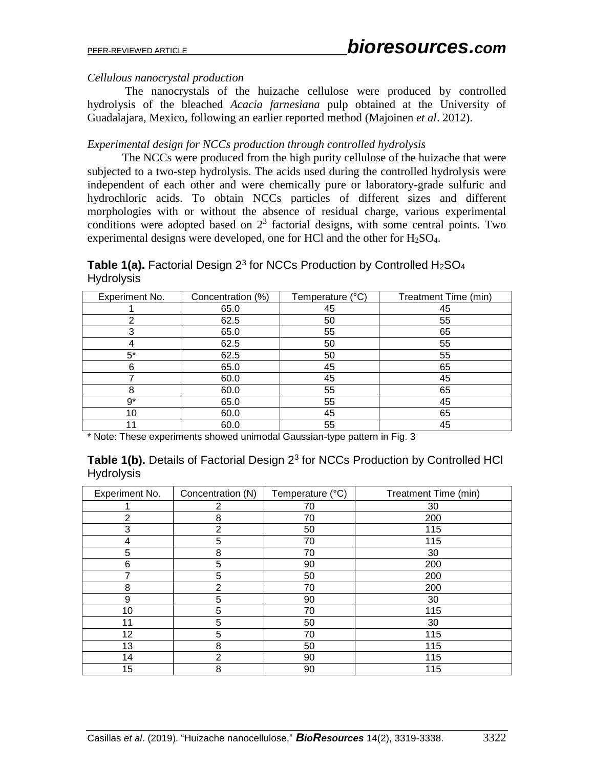# *Cellulous nanocrystal production*

The nanocrystals of the huizache cellulose were produced by controlled hydrolysis of the bleached *Acacia farnesiana* pulp obtained at the University of Guadalajara, Mexico, following an earlier reported method (Majoinen *et al*. 2012).

# *Experimental design for NCCs production through controlled hydrolysis*

The NCCs were produced from the high purity cellulose of the huizache that were subjected to a two-step hydrolysis. The acids used during the controlled hydrolysis were independent of each other and were chemically pure or laboratory-grade sulfuric and hydrochloric acids. To obtain NCCs particles of different sizes and different morphologies with or without the absence of residual charge, various experimental conditions were adopted based on  $2<sup>3</sup>$  factorial designs, with some central points. Two experimental designs were developed, one for HCl and the other for  $H_2SO_4$ .

Table 1(a). Factorial Design 2<sup>3</sup> for NCCs Production by Controlled H<sub>2</sub>SO<sub>4</sub> **Hydrolysis** 

| Experiment No. | Concentration (%) | Temperature (°C) | Treatment Time (min) |
|----------------|-------------------|------------------|----------------------|
|                | 65.0              | 45               | 45                   |
| ⌒              | 62.5              | 50               | 55                   |
| 3              | 65.0              | 55               | 65                   |
| 4              | 62.5              | 50               | 55                   |
| $5*$           | 62.5              | 50               | 55                   |
| 6              | 65.0              | 45               | 65                   |
| $\overline{ }$ | 60.0              | 45               | 45                   |
| 8              | 60.0              | 55               | 65                   |
| $9^*$          | 65.0              | 55               | 45                   |
| 10             | 60.0              | 45               | 65                   |
|                | 60.0              | 55               | 45                   |

\* Note: These experiments showed unimodal Gaussian-type pattern in Fig. 3

|                   | <b>Table 1(b).</b> Details of Factorial Design 2 <sup>3</sup> for NCCs Production by Controlled HCl |  |  |
|-------------------|-----------------------------------------------------------------------------------------------------|--|--|
| <b>Hydrolysis</b> |                                                                                                     |  |  |

| Experiment No. | Concentration (N) | Temperature (°C) | Treatment Time (min) |
|----------------|-------------------|------------------|----------------------|
|                | 2                 | 70               | 30                   |
| 2              | 8                 | 70               | 200                  |
| 3              | 2                 | 50               | 115                  |
| 4              | 5                 | 70               | 115                  |
| 5              | 8                 | 70               | 30                   |
| 6              | 5                 | 90               | 200                  |
|                | 5                 | 50               | 200                  |
| 8              | 2                 | 70               | 200                  |
| 9              | 5                 | 90               | 30                   |
| 10             | 5                 | 70               | 115                  |
| 11             | 5                 | 50               | 30                   |
| 12             | 5                 | 70               | 115                  |
| 13             | 8                 | 50               | 115                  |
| 14             | 2                 | 90               | 115                  |
| 15             | 8                 | 90               | 115                  |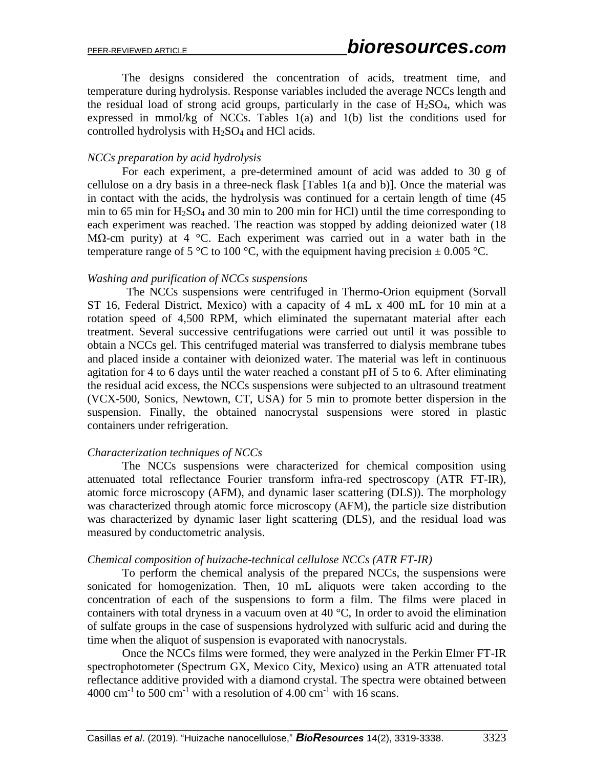The designs considered the concentration of acids, treatment time, and temperature during hydrolysis. Response variables included the average NCCs length and the residual load of strong acid groups, particularly in the case of  $H<sub>2</sub>SO<sub>4</sub>$ , which was expressed in mmol/kg of NCCs. Tables 1(a) and 1(b) list the conditions used for controlled hydrolysis with  $H_2SO_4$  and HCl acids.

#### *NCCs preparation by acid hydrolysis*

 For each experiment, a pre-determined amount of acid was added to 30 g of cellulose on a dry basis in a three-neck flask [Tables 1(a and b)]. Once the material was in contact with the acids, the hydrolysis was continued for a certain length of time (45 min to  $65$  min for  $H_2SO_4$  and  $30$  min to  $200$  min for HCl) until the time corresponding to each experiment was reached. The reaction was stopped by adding deionized water (18 MΩ-cm purity) at 4 °C. Each experiment was carried out in a water bath in the temperature range of 5 °C to 100 °C, with the equipment having precision  $\pm$  0.005 °C.

#### *Washing and purification of NCCs suspensions*

The NCCs suspensions were centrifuged in Thermo-Orion equipment (Sorvall ST 16, Federal District, Mexico) with a capacity of 4 mL x 400 mL for 10 min at a rotation speed of 4,500 RPM, which eliminated the supernatant material after each treatment. Several successive centrifugations were carried out until it was possible to obtain a NCCs gel. This centrifuged material was transferred to dialysis membrane tubes and placed inside a container with deionized water. The material was left in continuous agitation for 4 to 6 days until the water reached a constant pH of 5 to 6. After eliminating the residual acid excess, the NCCs suspensions were subjected to an ultrasound treatment (VCX-500, Sonics, Newtown, CT, USA) for 5 min to promote better dispersion in the suspension. Finally, the obtained nanocrystal suspensions were stored in plastic containers under refrigeration.

#### *Characterization techniques of NCCs*

The NCCs suspensions were characterized for chemical composition using attenuated total reflectance Fourier transform infra-red spectroscopy (ATR FT-IR), atomic force microscopy (AFM), and dynamic laser scattering (DLS)). The morphology was characterized through atomic force microscopy (AFM), the particle size distribution was characterized by dynamic laser light scattering (DLS), and the residual load was measured by conductometric analysis.

#### *Chemical composition of huizache-technical cellulose NCCs (ATR FT-IR)*

To perform the chemical analysis of the prepared NCCs, the suspensions were sonicated for homogenization. Then, 10 mL aliquots were taken according to the concentration of each of the suspensions to form a film. The films were placed in containers with total dryness in a vacuum oven at 40 °C, In order to avoid the elimination of sulfate groups in the case of suspensions hydrolyzed with sulfuric acid and during the time when the aliquot of suspension is evaporated with nanocrystals.

Once the NCCs films were formed, they were analyzed in the Perkin Elmer FT-IR spectrophotometer (Spectrum GX, Mexico City, Mexico) using an ATR attenuated total reflectance additive provided with a diamond crystal. The spectra were obtained between 4000 cm<sup>-1</sup> to 500 cm<sup>-1</sup> with a resolution of 4.00 cm<sup>-1</sup> with 16 scans.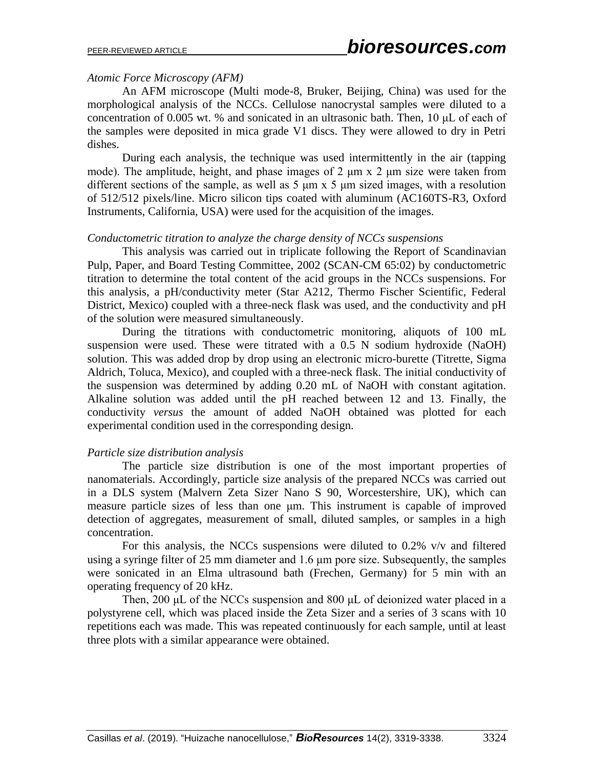#### *Atomic Force Microscopy (AFM)*

An AFM microscope (Multi mode-8, Bruker, Beijing, China) was used for the morphological analysis of the NCCs. Cellulose nanocrystal samples were diluted to a concentration of 0.005 wt. % and sonicated in an ultrasonic bath. Then, 10 μL of each of the samples were deposited in mica grade V1 discs. They were allowed to dry in Petri dishes.

During each analysis, the technique was used intermittently in the air (tapping mode). The amplitude, height, and phase images of 2 μm x 2 μm size were taken from different sections of the sample, as well as 5 μm x 5 μm sized images, with a resolution of 512/512 pixels/line. Micro silicon tips coated with aluminum (AC160TS-R3, Oxford Instruments, California, USA) were used for the acquisition of the images.

#### *Conductometric titration to analyze the charge density of NCCs suspensions*

This analysis was carried out in triplicate following the Report of Scandinavian Pulp, Paper, and Board Testing Committee, 2002 (SCAN-CM 65:02) by conductometric titration to determine the total content of the acid groups in the NCCs suspensions. For this analysis, a pH/conductivity meter (Star A212, Thermo Fischer Scientific, Federal District, Mexico) coupled with a three-neck flask was used, and the conductivity and pH of the solution were measured simultaneously.

During the titrations with conductometric monitoring, aliquots of 100 mL suspension were used. These were titrated with a 0.5 N sodium hydroxide (NaOH) solution. This was added drop by drop using an electronic micro-burette (Titrette, Sigma Aldrich, Toluca, Mexico), and coupled with a three-neck flask. The initial conductivity of the suspension was determined by adding 0.20 mL of NaOH with constant agitation. Alkaline solution was added until the pH reached between 12 and 13. Finally, the conductivity *versus* the amount of added NaOH obtained was plotted for each experimental condition used in the corresponding design.

#### *Particle size distribution analysis*

The particle size distribution is one of the most important properties of nanomaterials. Accordingly, particle size analysis of the prepared NCCs was carried out in a DLS system (Malvern Zeta Sizer Nano S 90, Worcestershire, UK), which can measure particle sizes of less than one μm. This instrument is capable of improved detection of aggregates, measurement of small, diluted samples, or samples in a high concentration.

For this analysis, the NCCs suspensions were diluted to  $0.2\%$  v/v and filtered using a syringe filter of 25 mm diameter and 1.6 μm pore size. Subsequently, the samples were sonicated in an Elma ultrasound bath (Frechen, Germany) for 5 min with an operating frequency of 20 kHz.

Then, 200 μL of the NCCs suspension and 800 μL of deionized water placed in a polystyrene cell, which was placed inside the Zeta Sizer and a series of 3 scans with 10 repetitions each was made. This was repeated continuously for each sample, until at least three plots with a similar appearance were obtained.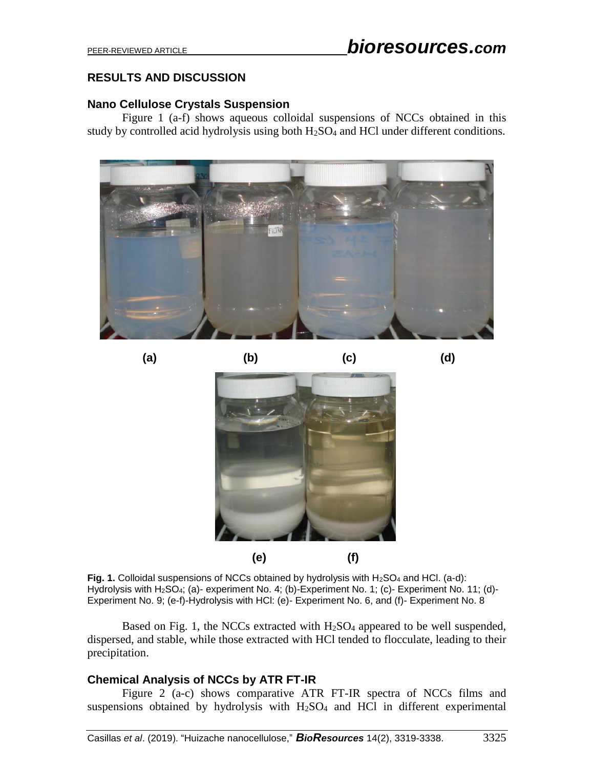# **RESULTS AND DISCUSSION**

# **Nano Cellulose Crystals Suspension**

Figure 1 (a-f) shows aqueous colloidal suspensions of NCCs obtained in this study by controlled acid hydrolysis using both  $H_2SO_4$  and HCl under different conditions.



**(a) (b) (c) (d)**



Fig. 1. Colloidal suspensions of NCCs obtained by hydrolysis with H<sub>2</sub>SO<sub>4</sub> and HCl. (a-d): Hydrolysis with H2SO4; (a)- experiment No. 4; (b)-Experiment No. 1; (c)- Experiment No. 11; (d)- Experiment No. 9; (e-f)-Hydrolysis with HCl: (e)- Experiment No. 6, and (f)- Experiment No. 8

Based on Fig. 1, the NCCs extracted with  $H<sub>2</sub>SO<sub>4</sub>$  appeared to be well suspended, dispersed, and stable, while those extracted with HCl tended to flocculate, leading to their precipitation.

# **Chemical Analysis of NCCs by ATR FT-IR**

Figure 2 (a-c) shows comparative ATR FT-IR spectra of NCCs films and suspensions obtained by hydrolysis with  $H<sub>2</sub>SO<sub>4</sub>$  and HCl in different experimental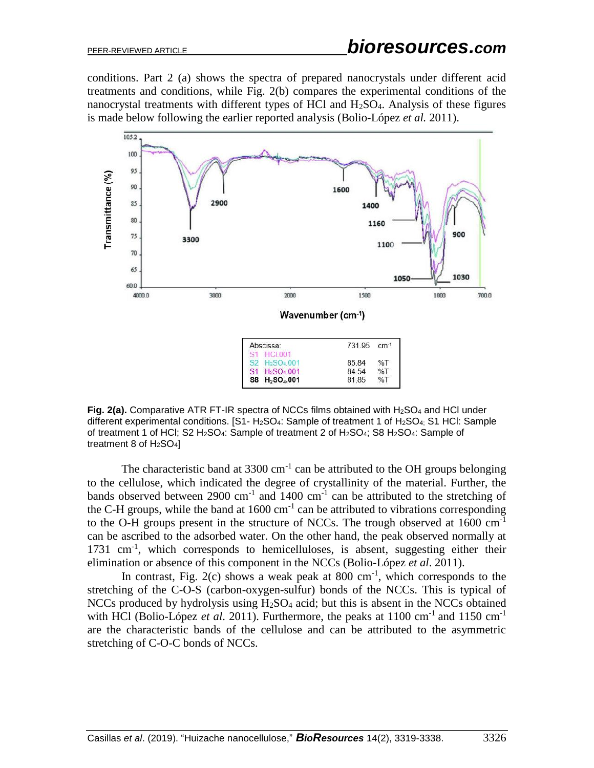conditions. Part 2 (a) shows the spectra of prepared nanocrystals under different acid treatments and conditions, while Fig. 2(b) compares the experimental conditions of the nanocrystal treatments with different types of HCl and  $H<sub>2</sub>SO<sub>4</sub>$ . Analysis of these figures is made below following the earlier reported analysis (Bolio-López *et al.* 2011).



**Fig. 2(a).** Comparative ATR FT-IR spectra of NCCs films obtained with H<sub>2</sub>SO<sub>4</sub> and HCl under different experimental conditions. [S1- H<sub>2</sub>SO<sub>4</sub>: Sample of treatment 1 of H<sub>2</sub>SO<sub>4;</sub> S1 HCl: Sample of treatment 1 of HCl; S2 H2SO4: Sample of treatment 2 of H2SO4; S8 H2SO4: Sample of treatment 8 of  $H<sub>2</sub>SO<sub>4</sub>$ ]

The characteristic band at  $3300 \text{ cm}^{-1}$  can be attributed to the OH groups belonging to the cellulose, which indicated the degree of crystallinity of the material. Further, the bands observed between 2900 cm<sup>-1</sup> and 1400 cm<sup>-1</sup> can be attributed to the stretching of the C-H groups, while the band at  $1600 \text{ cm}^{-1}$  can be attributed to vibrations corresponding to the O-H groups present in the structure of NCCs. The trough observed at  $1600 \text{ cm}^{-1}$ can be ascribed to the adsorbed water. On the other hand, the peak observed normally at 1731 cm<sup>-1</sup>, which corresponds to hemicelluloses, is absent, suggesting either their elimination or absence of this component in the NCCs (Bolio-López *et al*. 2011).

In contrast, Fig.  $2(c)$  shows a weak peak at 800 cm<sup>-1</sup>, which corresponds to the stretching of the C-O-S (carbon-oxygen-sulfur) bonds of the NCCs. This is typical of NCCs produced by hydrolysis using  $H_2SO_4$  acid; but this is absent in the NCCs obtained with HCl (Bolio-López *et al.* 2011). Furthermore, the peaks at 1100 cm<sup>-1</sup> and 1150 cm<sup>-1</sup> are the characteristic bands of the cellulose and can be attributed to the asymmetric stretching of C-O-C bonds of NCCs.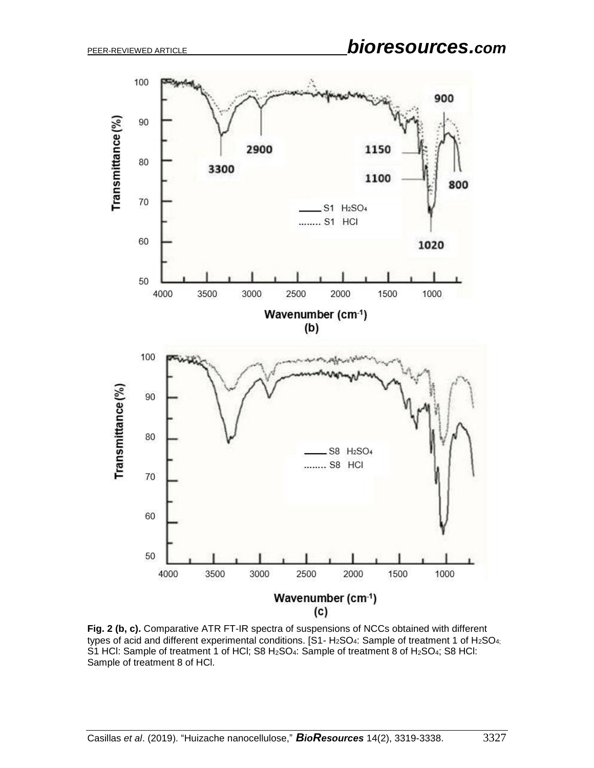

**Fig. 2 (b, c).** Comparative ATR FT-IR spectra of suspensions of NCCs obtained with different types of acid and different experimental conditions. [S1- H<sub>2</sub>SO<sub>4</sub>: Sample of treatment 1 of H<sub>2</sub>SO<sub>4;</sub> S1 HCl: Sample of treatment 1 of HCl; S8 H<sub>2</sub>SO<sub>4</sub>: Sample of treatment 8 of H<sub>2</sub>SO<sub>4</sub>; S8 HCl: Sample of treatment 8 of HCl.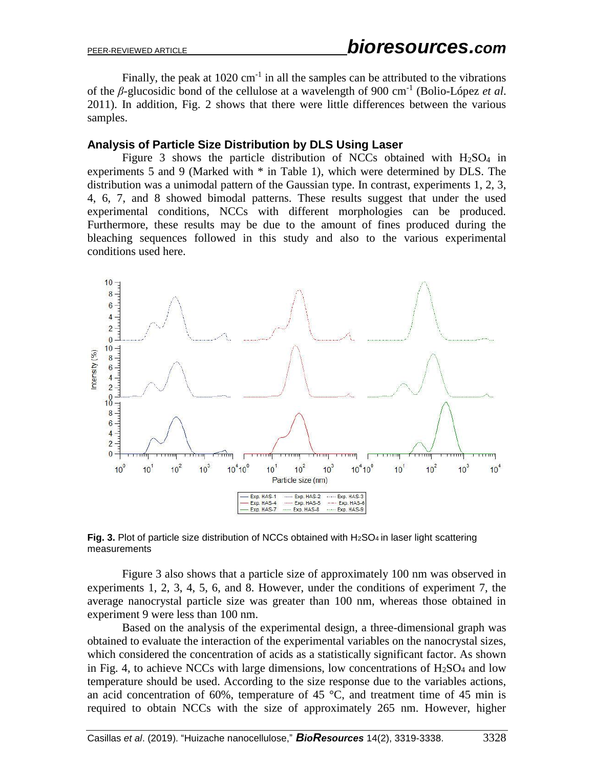Finally, the peak at  $1020 \text{ cm}^{-1}$  in all the samples can be attributed to the vibrations of the *β*-glucosidic bond of the cellulose at a wavelength of 900 cm-1 (Bolio-López *et al*. 2011). In addition, Fig. 2 shows that there were little differences between the various samples.

#### **Analysis of Particle Size Distribution by DLS Using Laser**

Figure 3 shows the particle distribution of NCCs obtained with  $H<sub>2</sub>SO<sub>4</sub>$  in experiments 5 and 9 (Marked with \* in Table 1), which were determined by DLS. The distribution was a unimodal pattern of the Gaussian type. In contrast, experiments 1, 2, 3, 4, 6, 7, and 8 showed bimodal patterns. These results suggest that under the used experimental conditions, NCCs with different morphologies can be produced. Furthermore, these results may be due to the amount of fines produced during the bleaching sequences followed in this study and also to the various experimental conditions used here.



**Fig. 3.** Plot of particle size distribution of NCCs obtained with H<sub>2</sub>SO<sub>4</sub> in laser light scattering measurements

Figure 3 also shows that a particle size of approximately 100 nm was observed in experiments 1, 2, 3, 4, 5, 6, and 8. However, under the conditions of experiment 7, the average nanocrystal particle size was greater than 100 nm, whereas those obtained in experiment 9 were less than 100 nm.

Based on the analysis of the experimental design, a three-dimensional graph was obtained to evaluate the interaction of the experimental variables on the nanocrystal sizes, which considered the concentration of acids as a statistically significant factor. As shown in Fig. 4, to achieve NCCs with large dimensions, low concentrations of  $H_2SO_4$  and low temperature should be used. According to the size response due to the variables actions, an acid concentration of 60%, temperature of 45  $^{\circ}$ C, and treatment time of 45 min is required to obtain NCCs with the size of approximately 265 nm. However, higher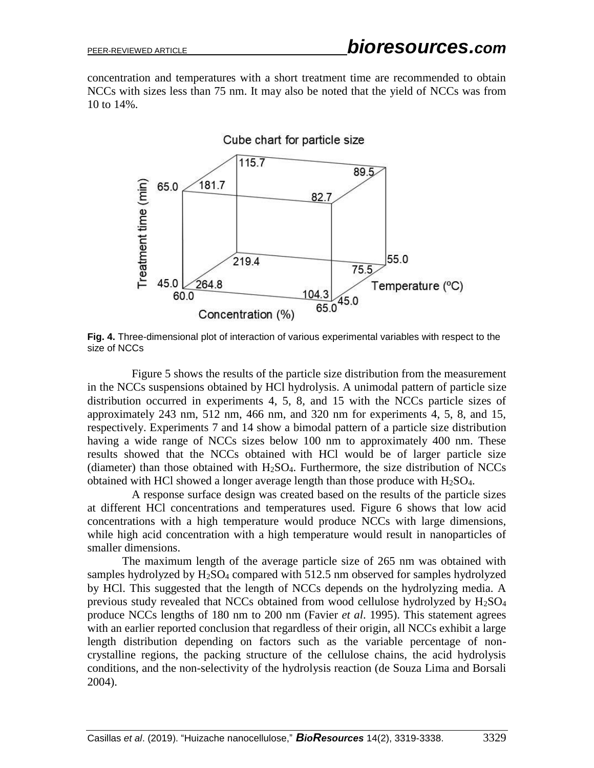concentration and temperatures with a short treatment time are recommended to obtain NCCs with sizes less than 75 nm. It may also be noted that the yield of NCCs was from 10 to 14%.



**Fig. 4.** Three-dimensional plot of interaction of various experimental variables with respect to the size of NCCs

Figure 5 shows the results of the particle size distribution from the measurement in the NCCs suspensions obtained by HCl hydrolysis. A unimodal pattern of particle size distribution occurred in experiments 4, 5, 8, and 15 with the NCCs particle sizes of approximately 243 nm, 512 nm, 466 nm, and 320 nm for experiments 4, 5, 8, and 15, respectively. Experiments 7 and 14 show a bimodal pattern of a particle size distribution having a wide range of NCCs sizes below 100 nm to approximately 400 nm. These results showed that the NCCs obtained with HCl would be of larger particle size (diameter) than those obtained with  $H_2SO_4$ . Furthermore, the size distribution of NCCs obtained with HCl showed a longer average length than those produce with  $H_2SO_4$ .

A response surface design was created based on the results of the particle sizes at different HCl concentrations and temperatures used. Figure 6 shows that low acid concentrations with a high temperature would produce NCCs with large dimensions, while high acid concentration with a high temperature would result in nanoparticles of smaller dimensions.

The maximum length of the average particle size of 265 nm was obtained with samples hydrolyzed by H<sub>2</sub>SO<sub>4</sub> compared with 512.5 nm observed for samples hydrolyzed by HCl. This suggested that the length of NCCs depends on the hydrolyzing media. A previous study revealed that NCCs obtained from wood cellulose hydrolyzed by H2SO<sup>4</sup> produce NCCs lengths of 180 nm to 200 nm (Favier *et al*. 1995). This statement agrees with an earlier reported conclusion that regardless of their origin, all NCCs exhibit a large length distribution depending on factors such as the variable percentage of noncrystalline regions, the packing structure of the cellulose chains, the acid hydrolysis conditions, and the non-selectivity of the hydrolysis reaction (de Souza Lima and Borsali 2004).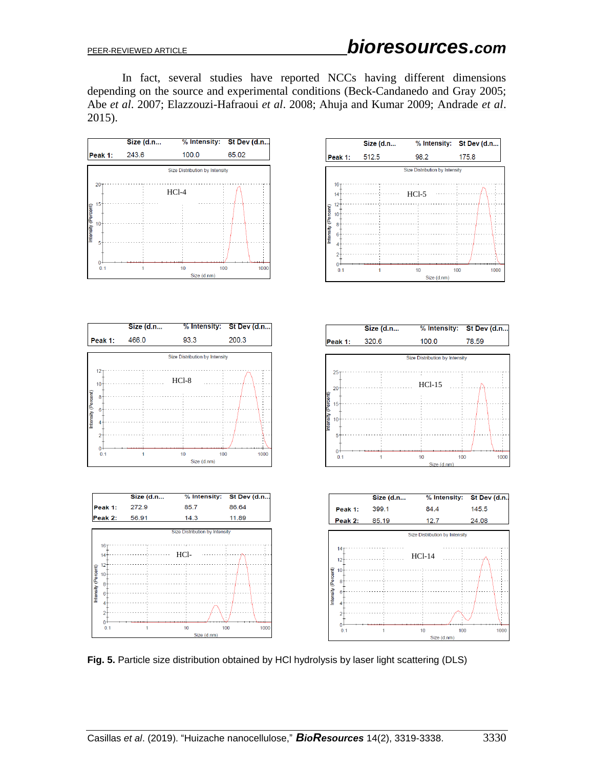In fact, several studies have reported NCCs having different dimensions depending on the source and experimental conditions (Beck-Candanedo and Gray 2005; Abe *et al*. 2007; Elazzouzi-Hafraoui *et al*. 2008; Ahuja and Kumar 2009; Andrade *et al*. 2015).



**Fig. 5.** Particle size distribution obtained by HCl hydrolysis by laser light scattering (DLS)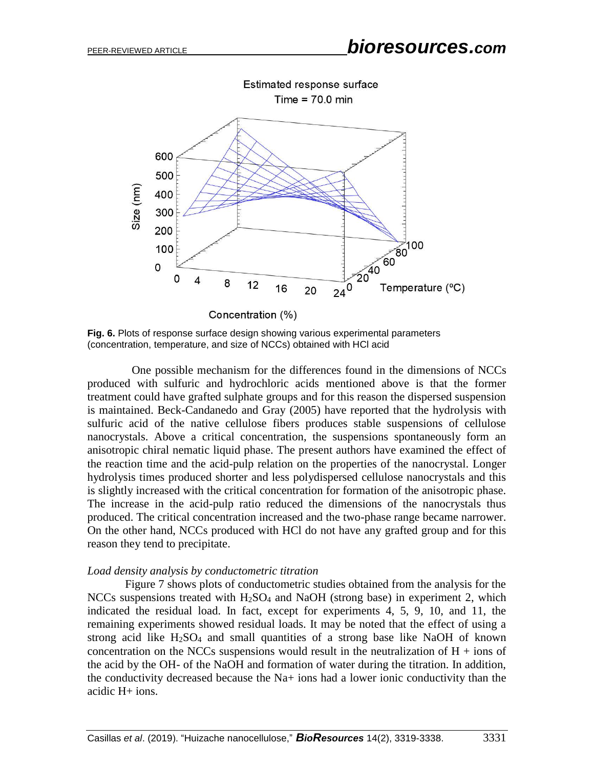

**Fig. 6.** Plots of response surface design showing various experimental parameters (concentration, temperature, and size of NCCs) obtained with HCl acid

One possible mechanism for the differences found in the dimensions of NCCs produced with sulfuric and hydrochloric acids mentioned above is that the former treatment could have grafted sulphate groups and for this reason the dispersed suspension is maintained. Beck-Candanedo and Gray (2005) have reported that the hydrolysis with sulfuric acid of the native cellulose fibers produces stable suspensions of cellulose nanocrystals. Above a critical concentration, the suspensions spontaneously form an anisotropic chiral nematic liquid phase. The present authors have examined the effect of the reaction time and the acid-pulp relation on the properties of the nanocrystal. Longer hydrolysis times produced shorter and less polydispersed cellulose nanocrystals and this is slightly increased with the critical concentration for formation of the anisotropic phase. The increase in the acid-pulp ratio reduced the dimensions of the nanocrystals thus produced. The critical concentration increased and the two-phase range became narrower. On the other hand, NCCs produced with HCl do not have any grafted group and for this reason they tend to precipitate.

#### *Load density analysis by conductometric titration*

Figure 7 shows plots of conductometric studies obtained from the analysis for the NCCs suspensions treated with H<sub>2</sub>SO<sub>4</sub> and NaOH (strong base) in experiment 2, which indicated the residual load. In fact, except for experiments 4, 5, 9, 10, and 11, the remaining experiments showed residual loads. It may be noted that the effect of using a strong acid like  $H_2SO_4$  and small quantities of a strong base like NaOH of known concentration on the NCCs suspensions would result in the neutralization of  $H + \text{ions of}$ the acid by the OH- of the NaOH and formation of water during the titration. In addition, the conductivity decreased because the  $Na<sub>+</sub>$  ions had a lower ionic conductivity than the acidic H+ ions.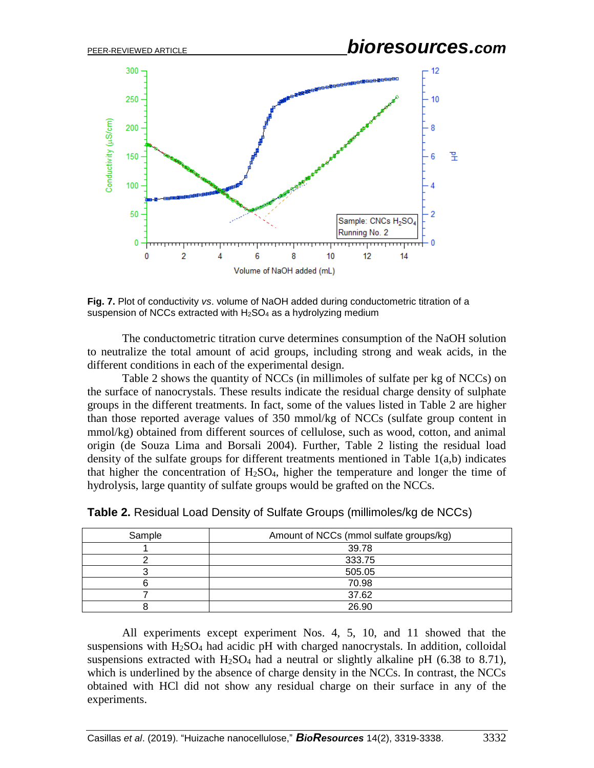

**Fig. 7.** Plot of conductivity *vs*. volume of NaOH added during conductometric titration of a suspension of NCCs extracted with  $H<sub>2</sub>SO<sub>4</sub>$  as a hydrolyzing medium

The conductometric titration curve determines consumption of the NaOH solution to neutralize the total amount of acid groups, including strong and weak acids, in the different conditions in each of the experimental design.

Table 2 shows the quantity of NCCs (in millimoles of sulfate per kg of NCCs) on the surface of nanocrystals. These results indicate the residual charge density of sulphate groups in the different treatments. In fact, some of the values listed in Table 2 are higher than those reported average values of 350 mmol/kg of NCCs (sulfate group content in mmol/kg) obtained from different sources of cellulose, such as wood, cotton, and animal origin (de Souza Lima and Borsali 2004). Further, Table 2 listing the residual load density of the sulfate groups for different treatments mentioned in Table 1(a,b) indicates that higher the concentration of  $H_2SO_4$ , higher the temperature and longer the time of hydrolysis, large quantity of sulfate groups would be grafted on the NCCs.

| Sample | Amount of NCCs (mmol sulfate groups/kg) |  |  |
|--------|-----------------------------------------|--|--|
|        | 39.78                                   |  |  |
|        | 333.75                                  |  |  |
|        | 505.05                                  |  |  |
|        | 70.98                                   |  |  |
|        | 37.62                                   |  |  |
|        | 26.90                                   |  |  |

**Table 2.** Residual Load Density of Sulfate Groups (millimoles/kg de NCCs)

All experiments except experiment Nos. 4, 5, 10, and 11 showed that the suspensions with  $H_2SO_4$  had acidic pH with charged nanocrystals. In addition, colloidal suspensions extracted with  $H_2SO_4$  had a neutral or slightly alkaline pH (6.38 to 8.71), which is underlined by the absence of charge density in the NCCs. In contrast, the NCCs obtained with HCl did not show any residual charge on their surface in any of the experiments.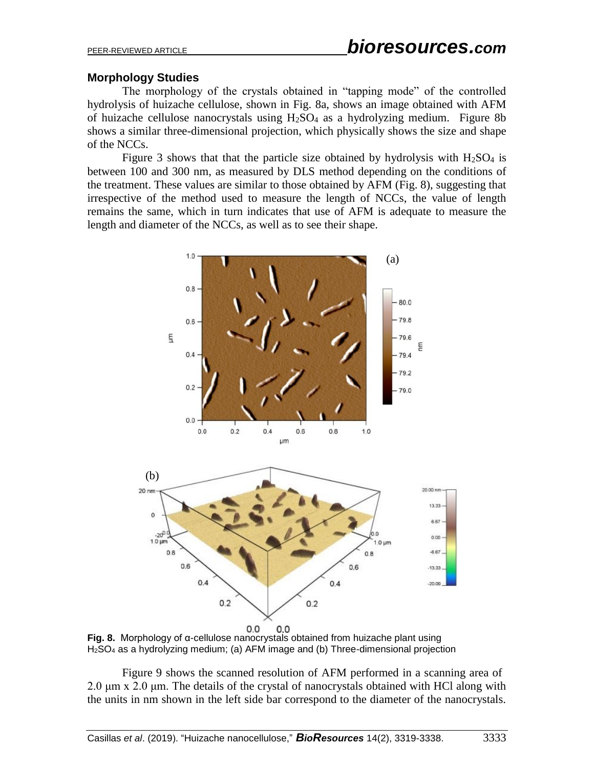# **Morphology Studies**

The morphology of the crystals obtained in "tapping mode" of the controlled hydrolysis of huizache cellulose, shown in Fig. 8a, shows an image obtained with AFM of huizache cellulose nanocrystals using  $H_2SO_4$  as a hydrolyzing medium. Figure 8b shows a similar three-dimensional projection, which physically shows the size and shape of the NCCs.

Figure 3 shows that that the particle size obtained by hydrolysis with  $H<sub>2</sub>SO<sub>4</sub>$  is between 100 and 300 nm, as measured by DLS method depending on the conditions of the treatment. These values are similar to those obtained by AFM (Fig. 8), suggesting that irrespective of the method used to measure the length of NCCs, the value of length remains the same, which in turn indicates that use of AFM is adequate to measure the length and diameter of the NCCs, as well as to see their shape.



**Fig. 8.** Morphology of α-cellulose nanocrystals obtained from huizache plant using H2SO<sup>4</sup> as a hydrolyzing medium; (a) AFM image and (b) Three-dimensional projection

Figure 9 shows the scanned resolution of AFM performed in a scanning area of 2.0 μm x 2.0 μm. The details of the crystal of nanocrystals obtained with HCl along with the units in nm shown in the left side bar correspond to the diameter of the nanocrystals.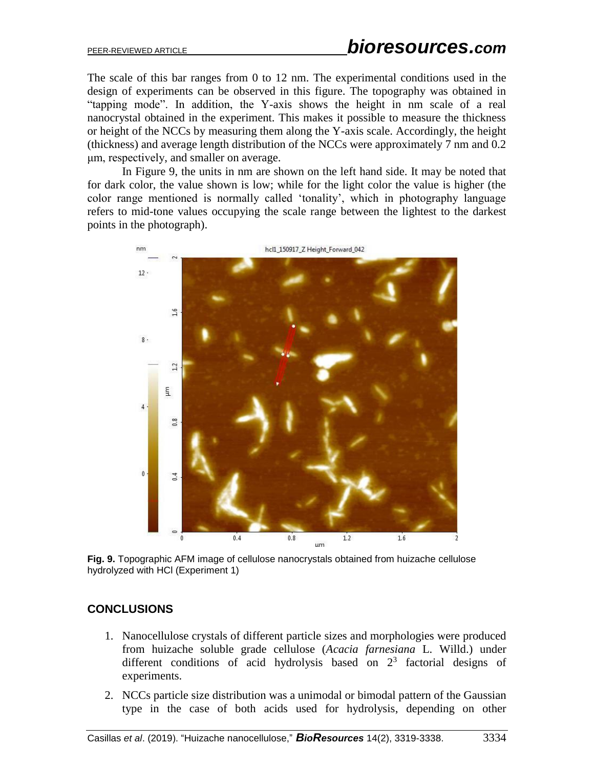The scale of this bar ranges from 0 to 12 nm. The experimental conditions used in the design of experiments can be observed in this figure. The topography was obtained in "tapping mode". In addition, the Y-axis shows the height in nm scale of a real nanocrystal obtained in the experiment. This makes it possible to measure the thickness or height of the NCCs by measuring them along the Y-axis scale. Accordingly, the height (thickness) and average length distribution of the NCCs were approximately 7 nm and 0.2 μm, respectively, and smaller on average.

In Figure 9, the units in nm are shown on the left hand side. It may be noted that for dark color, the value shown is low; while for the light color the value is higher (the color range mentioned is normally called 'tonality', which in photography language refers to mid-tone values occupying the scale range between the lightest to the darkest points in the photograph).



**Fig. 9.** Topographic AFM image of cellulose nanocrystals obtained from huizache cellulose hydrolyzed with HCl (Experiment 1)

## **CONCLUSIONS**

- 1. Nanocellulose crystals of different particle sizes and morphologies were produced from huizache soluble grade cellulose (*Acacia farnesiana* L. Willd.) under different conditions of acid hydrolysis based on  $2<sup>3</sup>$  factorial designs of experiments.
- 2. NCCs particle size distribution was a unimodal or bimodal pattern of the Gaussian type in the case of both acids used for hydrolysis, depending on other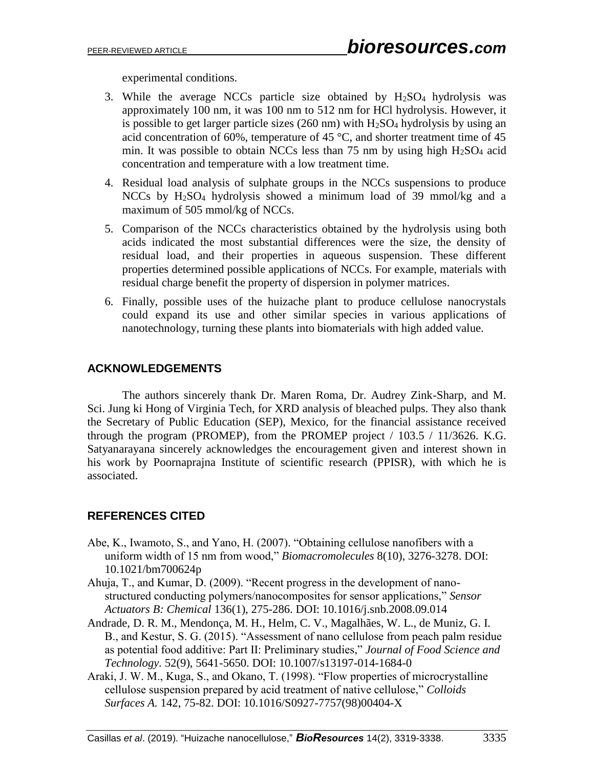experimental conditions.

- 3. While the average NCCs particle size obtained by  $H<sub>2</sub>SO<sub>4</sub>$  hydrolysis was approximately 100 nm, it was 100 nm to 512 nm for HCl hydrolysis. However, it is possible to get larger particle sizes  $(260 \text{ nm})$  with  $H_2SO_4$  hydrolysis by using an acid concentration of 60%, temperature of 45  $^{\circ}$ C, and shorter treatment time of 45 min. It was possible to obtain NCCs less than 75 nm by using high  $H_2SO_4$  acid concentration and temperature with a low treatment time.
- 4. Residual load analysis of sulphate groups in the NCCs suspensions to produce NCCs by H2SO<sup>4</sup> hydrolysis showed a minimum load of 39 mmol/kg and a maximum of 505 mmol/kg of NCCs.
- 5. Comparison of the NCCs characteristics obtained by the hydrolysis using both acids indicated the most substantial differences were the size, the density of residual load, and their properties in aqueous suspension. These different properties determined possible applications of NCCs. For example, materials with residual charge benefit the property of dispersion in polymer matrices.
- 6. Finally, possible uses of the huizache plant to produce cellulose nanocrystals could expand its use and other similar species in various applications of nanotechnology, turning these plants into biomaterials with high added value.

# **ACKNOWLEDGEMENTS**

The authors sincerely thank Dr. Maren Roma, Dr. Audrey Zink-Sharp, and M. Sci. Jung ki Hong of Virginia Tech, for XRD analysis of bleached pulps. They also thank the Secretary of Public Education (SEP), Mexico, for the financial assistance received through the program (PROMEP), from the PROMEP project / 103.5 / 11/3626. K.G. Satyanarayana sincerely acknowledges the encouragement given and interest shown in his work by Poornaprajna Institute of scientific research (PPISR), with which he is associated.

# **REFERENCES CITED**

- Abe, K., Iwamoto, S., and Yano, H. (2007). "Obtaining cellulose nanofibers with a uniform width of 15 nm from wood," *Biomacromolecules* 8(10), 3276-3278. DOI: 10.1021/bm700624p
- Ahuja, T., and Kumar, D. (2009). "Recent progress in the development of nanostructured conducting polymers/nanocomposites for sensor applications," *Sensor Actuators B: Chemical* 136(1), 275-286. DOI: 10.1016/j.snb.2008.09.014
- Andrade, D. R. M., Mendonça, M. H., Helm, C. V., Magalhães, W. L., de Muniz, G. I. B., and Kestur, S. G. (2015). "Assessment of nano cellulose from peach palm residue as potential food additive: Part II: Preliminary studies," *Journal of Food Science and Technology.* 52(9), 5641-5650. DOI: 10.1007/s13197-014-1684-0
- Araki, J. W. M., Kuga, S., and Okano, T. (1998). "Flow properties of microcrystalline cellulose suspension prepared by acid treatment of native cellulose," *Colloids Surfaces A.* 142, 75-82. DOI: 10.1016/S0927-7757(98)00404-X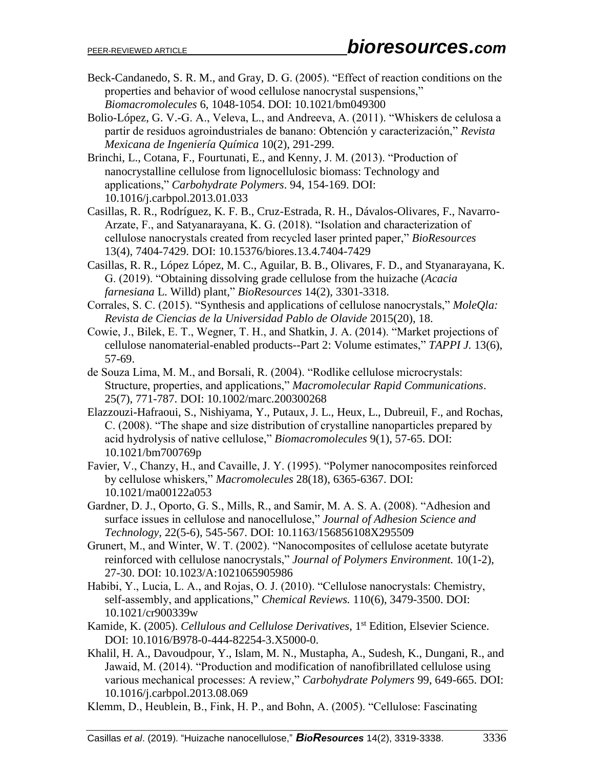- Beck-Candanedo, S. R. M., and Gray, D. G. (2005). "Effect of reaction conditions on the properties and behavior of wood cellulose nanocrystal suspensions," *Biomacromolecules* 6, 1048-1054. DOI: 10.1021/bm049300
- Bolio-López, G. V.-G. A., Veleva, L., and Andreeva, A. (2011). "Whiskers de celulosa a partir de residuos agroindustriales de banano: Obtención y caracterización," *Revista Mexicana de Ingeniería Química* 10(2), 291-299.
- Brinchi, L., Cotana, F., Fourtunati, E., and Kenny, J. M. (2013). "Production of nanocrystalline cellulose from lignocellulosic biomass: Technology and applications," *Carbohydrate Polymers*. 94, 154-169. DOI: 10.1016/j.carbpol.2013.01.033
- Casillas, R. R., Rodríguez, K. F. B., Cruz-Estrada, R. H., Dávalos-Olivares, F., Navarro-Arzate, F., and Satyanarayana, K. G. (2018). "Isolation and characterization of cellulose nanocrystals created from recycled laser printed paper," *BioResources* 13(4), 7404-7429. DOI: 10.15376/biores.13.4.7404-7429
- Casillas, R. R., López López, M. C., Aguilar, B. B., Olivares, F. D., and Styanarayana, K. G. (2019). "Obtaining dissolving grade cellulose from the huizache (*Acacia farnesiana* L. Willd) plant," *BioResources* 14(2), 3301-3318.
- Corrales, S. C. (2015). "Synthesis and applications of cellulose nanocrystals," *MoleQla: Revista de Ciencias de la Universidad Pablo de Olavide* 2015(20), 18.
- Cowie, J., Bilek, E. T., Wegner, T. H., and Shatkin, J. A. (2014). "Market projections of cellulose nanomaterial-enabled products--Part 2: Volume estimates," *TAPPI J.* 13(6), 57-69.
- de Souza Lima, M. M., and Borsali, R. (2004). "Rodlike cellulose microcrystals: Structure, properties, and applications," *Macromolecular Rapid Communications*. 25(7), 771-787. DOI: 10.1002/marc.200300268
- Elazzouzi-Hafraoui, S., Nishiyama, Y., Putaux, J. L., Heux, L., Dubreuil, F., and Rochas, C. (2008). "The shape and size distribution of crystalline nanoparticles prepared by acid hydrolysis of native cellulose," *Biomacromolecules* 9(1), 57-65. DOI: 10.1021/bm700769p
- Favier, V., Chanzy, H., and Cavaille, J. Y. (1995). "Polymer nanocomposites reinforced by cellulose whiskers," *Macromolecules* 28(18), 6365-6367. DOI: 10.1021/ma00122a053
- Gardner, D. J., Oporto, G. S., Mills, R., and Samir, M. A. S. A. (2008). "Adhesion and surface issues in cellulose and nanocellulose," *Journal of Adhesion Science and Technology,* 22(5-6), 545-567. DOI: 10.1163/156856108X295509
- Grunert, M., and Winter, W. T. (2002). "Nanocomposites of cellulose acetate butyrate reinforced with cellulose nanocrystals," *Journal of Polymers Environment.* 10(1-2), 27-30. DOI: 10.1023/A:1021065905986
- Habibi, Y., Lucia, L. A., and Rojas, O. J. (2010). "Cellulose nanocrystals: Chemistry, self-assembly, and applications," *Chemical Reviews.* 110(6), 3479-3500. DOI: 10.1021/cr900339w
- Kamide, K. (2005). *Cellulous and Cellulose Derivatives*, 1<sup>st</sup> Edition, Elsevier Science. DOI: 10.1016/B978-0-444-82254-3.X5000-0.
- Khalil, H. A., Davoudpour, Y., Islam, M. N., Mustapha, A., Sudesh, K., Dungani, R., and Jawaid, M. (2014). "Production and modification of nanofibrillated cellulose using various mechanical processes: A review," *Carbohydrate Polymers* 99, 649-665. DOI: 10.1016/j.carbpol.2013.08.069
- Klemm, D., Heublein, B., Fink, H. P., and Bohn, A. (2005). "Cellulose: Fascinating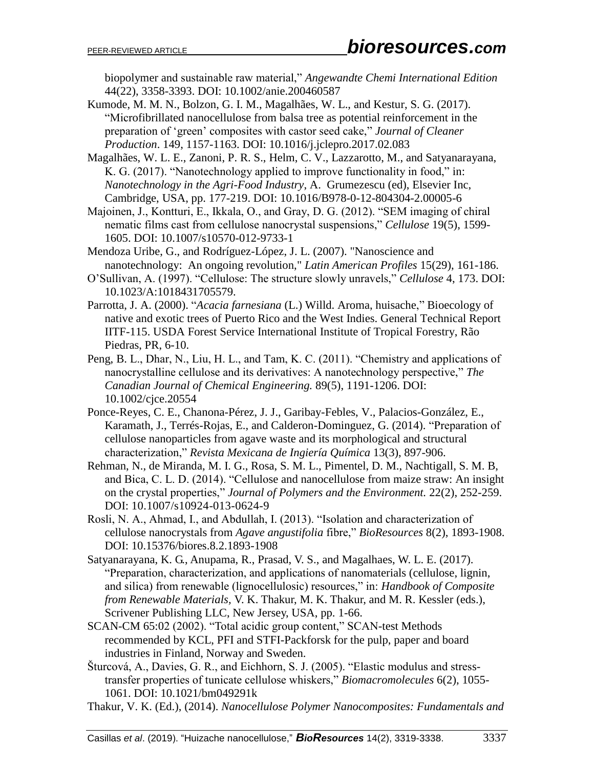biopolymer and sustainable raw material," *Angewandte Chemi International Edition* 44(22), 3358-3393. DOI: [10.1002/anie.200460587](https://doi.org/10.1002/anie.200460587)

Kumode, M. M. N., Bolzon, G. I. M., Magalhães, W. L., and Kestur, S. G. (2017). "Microfibrillated nanocellulose from balsa tree as potential reinforcement in the preparation of 'green' composites with castor seed cake," *Journal of Cleaner Production*. 149, 1157-1163. DOI: 10.1016/j.jclepro.2017.02.083

Magalhães, W. L. E., Zanoni, P. R. S., Helm, C. V., Lazzarotto, M., and Satyanarayana, K. G. (2017). "Nanotechnology applied to improve functionality in food," in: *Nanotechnology in the Agri-Food Industry*, A. Grumezescu (ed), Elsevier Inc, Cambridge, USA, pp. 177-219. DOI: 10.1016/B978-0-12-804304-2.00005-6

Majoinen, J., Kontturi, E., Ikkala, O., and Gray, D. G. (2012). "SEM imaging of chiral nematic films cast from cellulose nanocrystal suspensions," *Cellulose* 19(5), 1599- 1605. DOI: 10.1007/s10570-012-9733-1

Mendoza Uribe, G., and Rodríguez-López, J. L. (2007). "Nanoscience and nanotechnology: An ongoing revolution," *Latin American Profiles* 15(29), 161-186.

O'Sullivan, A. (1997). "Cellulose: The structure slowly unravels," *Cellulose* 4, 173. DOI: 10.1023/A:1018431705579.

Parrotta, J. A. (2000). "*Acacia farnesiana* (L.) Willd. Aroma, huisache," Bioecology of native and exotic trees of Puerto Rico and the West Indies. General Technical Report IITF-115. USDA Forest Service International Institute of Tropical Forestry, Rão Piedras, PR, 6-10.

Peng, B. L., Dhar, N., Liu, H. L., and Tam, K. C. (2011). "Chemistry and applications of nanocrystalline cellulose and its derivatives: A nanotechnology perspective," *The Canadian Journal of Chemical Engineering.* 89(5), 1191-1206. DOI: [10.1002/cjce.20554](https://doi.org/10.1002/cjce.20554)

Ponce-Reyes, C. E., Chanona-Pérez, J. J., Garibay-Febles, V., Palacios-González, E., Karamath, J., Terrés-Rojas, E., and Calderon-Dominguez, G. (2014). "Preparation of cellulose nanoparticles from agave waste and its morphological and structural characterization," *Revista Mexicana de Ingiería Química* 13(3), 897-906.

Rehman, N., de Miranda, M. I. G., Rosa, S. M. L., Pimentel, D. M., Nachtigall, S. M. B, and Bica, C. L. D. (2014). "Cellulose and nanocellulose from maize straw: An insight on the crystal properties," *Journal of Polymers and the Environment.* 22(2), 252-259. DOI: 10.1007/s10924-013-0624-9

Rosli, N. A., Ahmad, I., and Abdullah, I. (2013). "Isolation and characterization of cellulose nanocrystals from *Agave angustifolia* fibre," *BioResources* 8(2), 1893-1908. DOI: 10.15376/biores.8.2.1893-1908

Satyanarayana, K. G., Anupama, R., Prasad, V. S., and Magalhaes, W. L. E. (2017). "Preparation, characterization, and applications of nanomaterials (cellulose, lignin, and silica) from renewable (lignocellulosic) resources," in: *Handbook of Composite from Renewable Materials,* V. K. Thakur, M. K. Thakur, and M. R. Kessler (eds.), Scrivener Publishing LLC, New Jersey, USA, pp. 1-66.

SCAN-CM 65:02 (2002). "Total acidic group content," SCAN-test Methods recommended by KCL, PFI and STFI-Packforsk for the pulp, paper and board industries in Finland, Norway and Sweden.

Šturcová, A., Davies, G. R., and Eichhorn, S. J. (2005). "Elastic modulus and stresstransfer properties of tunicate cellulose whiskers," *Biomacromolecules* 6(2), 1055- 1061. DOI: 10.1021/bm049291k

Thakur, V. K. (Ed.), (2014). *Nanocellulose Polymer Nanocomposites: Fundamentals and*